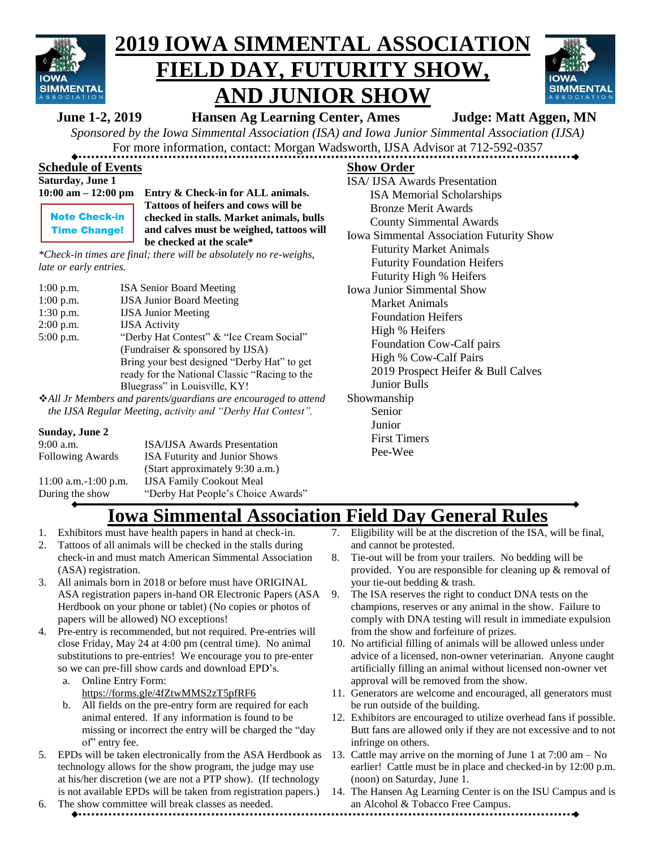

# **2019 IOWA SIMMENTAL ASSOCIATION FIELD DAY, FUTURITY SHOW, AND JUNIOR SHOW**



**June 1-2, 2019 Hansen Ag Learning Center, Ames Judge: Matt Aggen, MN**

*Sponsored by the Iowa Simmental Association (ISA) and Iowa Junior Simmental Association (IJSA)* For more information, contact: Morgan Wadsworth, IJSA Advisor at 712-592-0357

#### **Schedule of Events**

| Saturday, June 1 |  |  |
|------------------|--|--|
|                  |  |  |

|  | 10:00 am – 12:00 pm |  |
|--|---------------------|--|
|  |                     |  |

Note Check-in Time Change! **10:00 Entry & Check-in for ALL animals. Tattoos of heifers and cows will be checked in stalls. Market animals, bulls and calves must be weighed, tattoos will be checked at the scale\***

*\*Check-in times are final; there will be absolutely no re-weighs, late or early entries.*

1:00 p.m. ISA Senior Board Meeting 1:00 p.m. IJSA Junior Board Meeting 1:30 p.m. IJSA Junior Meeting 2:00 p.m. IJSA Activity 5:00 p.m. "Derby Hat Contest" & "Ice Cream Social" (Fundraiser & sponsored by IJSA) Bring your best designed "Derby Hat" to get ready for the National Classic "Racing to the Bluegrass" in Louisville, KY!

❖*All Jr Members and parents/guardians are encouraged to attend the IJSA Regular Meeting, activity and "Derby Hat Contest".*

#### **Sunday, June 2**

| $9:00$ a.m.             | <b>ISA/IJSA Awards Presentation</b>  |
|-------------------------|--------------------------------------|
| <b>Following Awards</b> | <b>ISA Futurity and Junior Shows</b> |
|                         | (Start approximately 9:30 a.m.)      |
| $11:00$ a.m.-1:00 p.m.  | <b>IJSA Family Cookout Meal</b>      |
| During the show         | "Derby Hat People's Choice Awards"   |

**Show Order** ISA/ IJSA Awards Presentation ISA Memorial Scholarships Bronze Merit Awards County Simmental Awards Iowa Simmental Association Futurity Show Futurity Market Animals Futurity Foundation Heifers Futurity High % Heifers Iowa Junior Simmental Show Market Animals Foundation Heifers High % Heifers Foundation Cow-Calf pairs High % Cow-Calf Pairs 2019 Prospect Heifer & Bull Calves Junior Bulls Showmanship Senior Junior

First Timers Pee-Wee

## **Iowa Simmental Association Field Day General Rules**

- 1. Exhibitors must have health papers in hand at check-in.
- 2. Tattoos of all animals will be checked in the stalls during check-in and must match American Simmental Association (ASA) registration.
- 3. All animals born in 2018 or before must have ORIGINAL ASA registration papers in-hand OR Electronic Papers (ASA Herdbook on your phone or tablet) (No copies or photos of papers will be allowed) NO exceptions!
- 4. Pre-entry is recommended, but not required. Pre-entries will close Friday, May 24 at 4:00 pm (central time). No animal substitutions to pre-entries! We encourage you to pre-enter so we can pre-fill show cards and download EPD's.
	- a. Online Entry Form: https://forms.gle/4fZtwMMS2zT5pfRF6
	- b. All fields on the pre-entry form are required for each animal entered. If any information is found to be missing or incorrect the entry will be charged the "day of" entry fee.
- 5. EPDs will be taken electronically from the ASA Herdbook as technology allows for the show program, the judge may use at his/her discretion (we are not a PTP show). (If technology is not available EPDs will be taken from registration papers.)
- 6. The show committee will break classes as needed.
- 7. Eligibility will be at the discretion of the ISA, will be final, and cannot be protested.
- 8. Tie-out will be from your trailers. No bedding will be provided. You are responsible for cleaning up & removal of your tie-out bedding & trash.
- 9. The ISA reserves the right to conduct DNA tests on the champions, reserves or any animal in the show. Failure to comply with DNA testing will result in immediate expulsion from the show and forfeiture of prizes.
- 10. No artificial filling of animals will be allowed unless under advice of a licensed, non-owner veterinarian. Anyone caught artificially filling an animal without licensed non-owner vet approval will be removed from the show.
- 11. Generators are welcome and encouraged, all generators must be run outside of the building.
- 12. Exhibitors are encouraged to utilize overhead fans if possible. Butt fans are allowed only if they are not excessive and to not infringe on others.
- 13. Cattle may arrive on the morning of June 1 at 7:00 am No earlier! Cattle must be in place and checked-in by 12:00 p.m. (noon) on Saturday, June 1.
- 14. The Hansen Ag Learning Center is on the ISU Campus and is an Alcohol & Tobacco Free Campus.